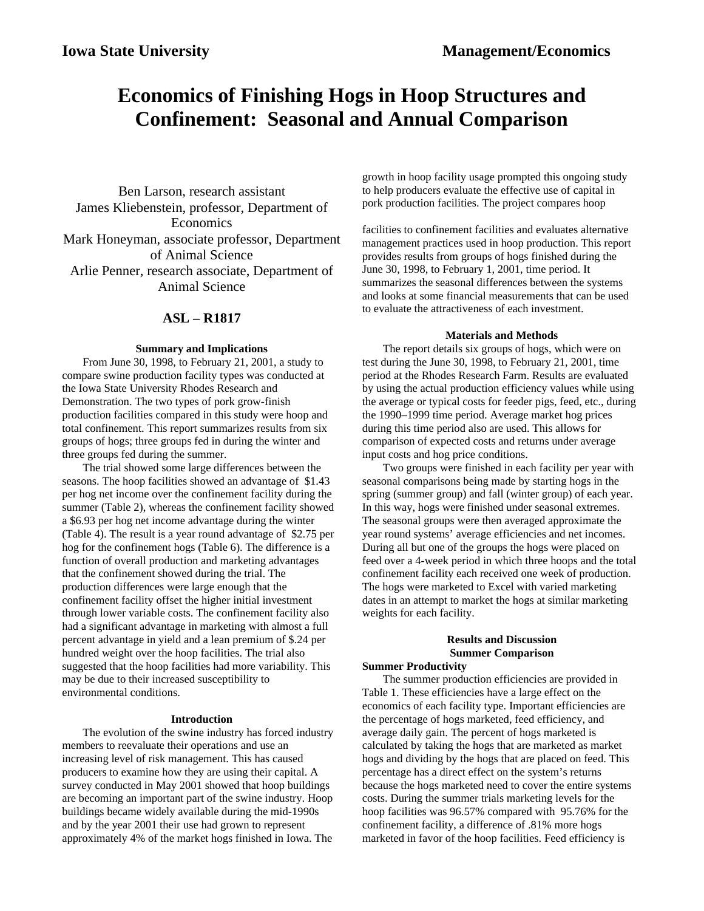# **Economics of Finishing Hogs in Hoop Structures and Confinement: Seasonal and Annual Comparison**

Ben Larson, research assistant James Kliebenstein, professor, Department of Economics Mark Honeyman, associate professor, Department of Animal Science Arlie Penner, research associate, Department of Animal Science

## **ASL – R1817**

#### **Summary and Implications**

From June 30, 1998, to February 21, 2001, a study to compare swine production facility types was conducted at the Iowa State University Rhodes Research and Demonstration. The two types of pork grow-finish production facilities compared in this study were hoop and total confinement. This report summarizes results from six groups of hogs; three groups fed in during the winter and three groups fed during the summer.

The trial showed some large differences between the seasons. The hoop facilities showed an advantage of \$1.43 per hog net income over the confinement facility during the summer (Table 2), whereas the confinement facility showed a \$6.93 per hog net income advantage during the winter (Table 4). The result is a year round advantage of \$2.75 per hog for the confinement hogs (Table 6). The difference is a function of overall production and marketing advantages that the confinement showed during the trial. The production differences were large enough that the confinement facility offset the higher initial investment through lower variable costs. The confinement facility also had a significant advantage in marketing with almost a full percent advantage in yield and a lean premium of \$.24 per hundred weight over the hoop facilities. The trial also suggested that the hoop facilities had more variability. This may be due to their increased susceptibility to environmental conditions.

#### **Introduction**

The evolution of the swine industry has forced industry members to reevaluate their operations and use an increasing level of risk management. This has caused producers to examine how they are using their capital. A survey conducted in May 2001 showed that hoop buildings are becoming an important part of the swine industry. Hoop buildings became widely available during the mid-1990s and by the year 2001 their use had grown to represent approximately 4% of the market hogs finished in Iowa. The

growth in hoop facility usage prompted this ongoing study to help producers evaluate the effective use of capital in pork production facilities. The project compares hoop

facilities to confinement facilities and evaluates alternative management practices used in hoop production. This report provides results from groups of hogs finished during the June 30, 1998, to February 1, 2001, time period. It summarizes the seasonal differences between the systems and looks at some financial measurements that can be used to evaluate the attractiveness of each investment.

#### **Materials and Methods**

The report details six groups of hogs, which were on test during the June 30, 1998, to February 21, 2001, time period at the Rhodes Research Farm. Results are evaluated by using the actual production efficiency values while using the average or typical costs for feeder pigs, feed, etc., during the 1990–1999 time period. Average market hog prices during this time period also are used. This allows for comparison of expected costs and returns under average input costs and hog price conditions.

Two groups were finished in each facility per year with seasonal comparisons being made by starting hogs in the spring (summer group) and fall (winter group) of each year. In this way, hogs were finished under seasonal extremes. The seasonal groups were then averaged approximate the year round systems' average efficiencies and net incomes. During all but one of the groups the hogs were placed on feed over a 4-week period in which three hoops and the total confinement facility each received one week of production. The hogs were marketed to Excel with varied marketing dates in an attempt to market the hogs at similar marketing weights for each facility.

### **Results and Discussion Summer Comparison**

#### **Summer Productivity**

The summer production efficiencies are provided in Table 1. These efficiencies have a large effect on the economics of each facility type. Important efficiencies are the percentage of hogs marketed, feed efficiency, and average daily gain. The percent of hogs marketed is calculated by taking the hogs that are marketed as market hogs and dividing by the hogs that are placed on feed. This percentage has a direct effect on the system's returns because the hogs marketed need to cover the entire systems costs. During the summer trials marketing levels for the hoop facilities was 96.57% compared with 95.76% for the confinement facility, a difference of .81% more hogs marketed in favor of the hoop facilities. Feed efficiency is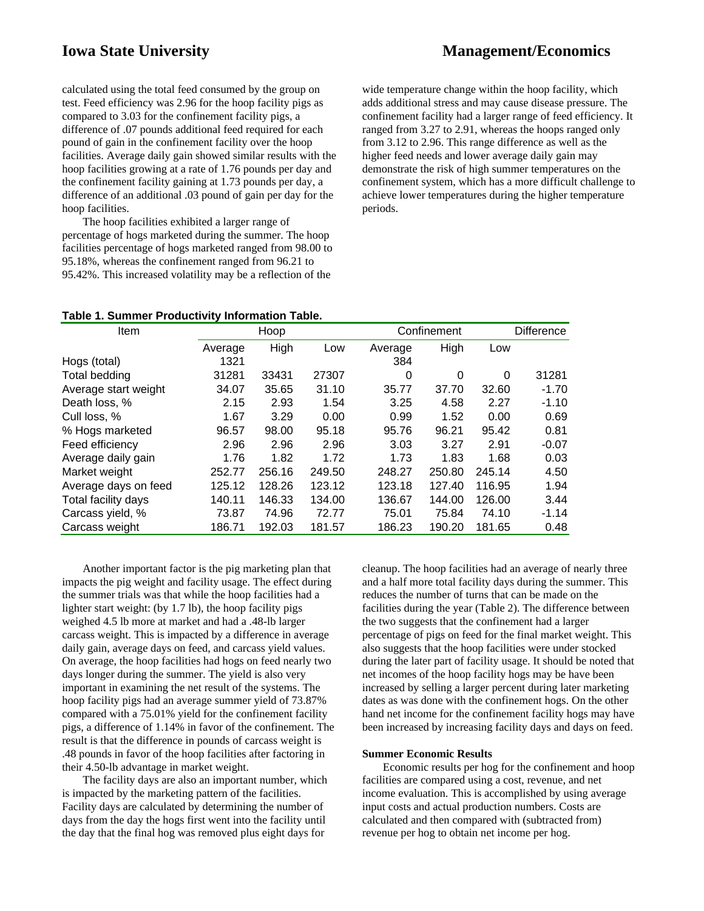# **Iowa State University Management/Economics**

calculated using the total feed consumed by the group on test. Feed efficiency was 2.96 for the hoop facility pigs as compared to 3.03 for the confinement facility pigs, a difference of .07 pounds additional feed required for each pound of gain in the confinement facility over the hoop facilities. Average daily gain showed similar results with the hoop facilities growing at a rate of 1.76 pounds per day and the confinement facility gaining at 1.73 pounds per day, a difference of an additional .03 pound of gain per day for the hoop facilities.

The hoop facilities exhibited a larger range of percentage of hogs marketed during the summer. The hoop facilities percentage of hogs marketed ranged from 98.00 to 95.18%, whereas the confinement ranged from 96.21 to 95.42%. This increased volatility may be a reflection of the

wide temperature change within the hoop facility, which adds additional stress and may cause disease pressure. The confinement facility had a larger range of feed efficiency. It ranged from 3.27 to 2.91, whereas the hoops ranged only from 3.12 to 2.96. This range difference as well as the higher feed needs and lower average daily gain may demonstrate the risk of high summer temperatures on the confinement system, which has a more difficult challenge to achieve lower temperatures during the higher temperature periods.

### **Table 1. Summer Productivity Information Table.**

| <b>Item</b>          |         | Hoop   |        |         | Confinement | <b>Difference</b> |         |
|----------------------|---------|--------|--------|---------|-------------|-------------------|---------|
|                      | Average | High   | Low    | Average | High        | Low               |         |
| Hogs (total)         | 1321    |        |        | 384     |             |                   |         |
| Total bedding        | 31281   | 33431  | 27307  | 0       | 0           | $\Omega$          | 31281   |
| Average start weight | 34.07   | 35.65  | 31.10  | 35.77   | 37.70       | 32.60             | $-1.70$ |
| Death loss, %        | 2.15    | 2.93   | 1.54   | 3.25    | 4.58        | 2.27              | $-1.10$ |
| Cull loss, %         | 1.67    | 3.29   | 0.00   | 0.99    | 1.52        | 0.00              | 0.69    |
| % Hogs marketed      | 96.57   | 98.00  | 95.18  | 95.76   | 96.21       | 95.42             | 0.81    |
| Feed efficiency      | 2.96    | 2.96   | 2.96   | 3.03    | 3.27        | 2.91              | $-0.07$ |
| Average daily gain   | 1.76    | 1.82   | 1.72   | 1.73    | 1.83        | 1.68              | 0.03    |
| Market weight        | 252.77  | 256.16 | 249.50 | 248.27  | 250.80      | 245.14            | 4.50    |
| Average days on feed | 125.12  | 128.26 | 123.12 | 123.18  | 127.40      | 116.95            | 1.94    |
| Total facility days  | 140.11  | 146.33 | 134.00 | 136.67  | 144.00      | 126.00            | 3.44    |
| Carcass yield, %     | 73.87   | 74.96  | 72.77  | 75.01   | 75.84       | 74.10             | $-1.14$ |
| Carcass weight       | 186.71  | 192.03 | 181.57 | 186.23  | 190.20      | 181.65            | 0.48    |

Another important factor is the pig marketing plan that impacts the pig weight and facility usage. The effect during the summer trials was that while the hoop facilities had a lighter start weight: (by 1.7 lb), the hoop facility pigs weighed 4.5 lb more at market and had a .48-lb larger carcass weight. This is impacted by a difference in average daily gain, average days on feed, and carcass yield values. On average, the hoop facilities had hogs on feed nearly two days longer during the summer. The yield is also very important in examining the net result of the systems. The hoop facility pigs had an average summer yield of 73.87% compared with a 75.01% yield for the confinement facility pigs, a difference of 1.14% in favor of the confinement. The result is that the difference in pounds of carcass weight is .48 pounds in favor of the hoop facilities after factoring in their 4.50-lb advantage in market weight.

The facility days are also an important number, which is impacted by the marketing pattern of the facilities. Facility days are calculated by determining the number of days from the day the hogs first went into the facility until the day that the final hog was removed plus eight days for

cleanup. The hoop facilities had an average of nearly three and a half more total facility days during the summer. This reduces the number of turns that can be made on the facilities during the year (Table 2). The difference between the two suggests that the confinement had a larger percentage of pigs on feed for the final market weight. This also suggests that the hoop facilities were under stocked during the later part of facility usage. It should be noted that net incomes of the hoop facility hogs may be have been increased by selling a larger percent during later marketing dates as was done with the confinement hogs. On the other hand net income for the confinement facility hogs may have been increased by increasing facility days and days on feed.

#### **Summer Economic Results**

Economic results per hog for the confinement and hoop facilities are compared using a cost, revenue, and net income evaluation. This is accomplished by using average input costs and actual production numbers. Costs are calculated and then compared with (subtracted from) revenue per hog to obtain net income per hog.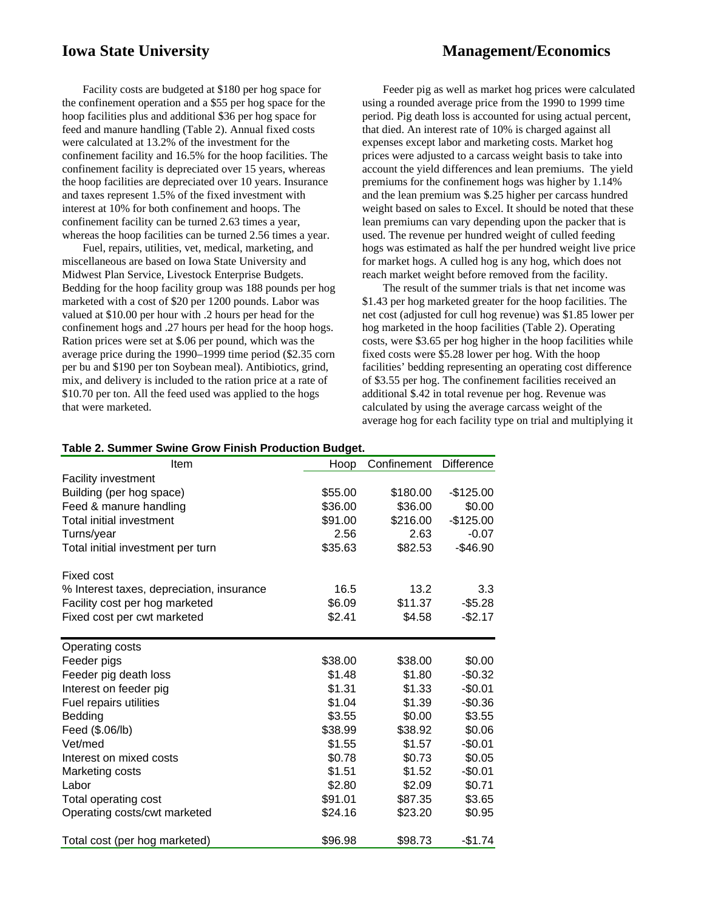# **Iowa State University Management/Economics**

Facility costs are budgeted at \$180 per hog space for the confinement operation and a \$55 per hog space for the hoop facilities plus and additional \$36 per hog space for feed and manure handling (Table 2). Annual fixed costs were calculated at 13.2% of the investment for the confinement facility and 16.5% for the hoop facilities. The confinement facility is depreciated over 15 years, whereas the hoop facilities are depreciated over 10 years. Insurance and taxes represent 1.5% of the fixed investment with interest at 10% for both confinement and hoops. The confinement facility can be turned 2.63 times a year, whereas the hoop facilities can be turned 2.56 times a year.

Fuel, repairs, utilities, vet, medical, marketing, and miscellaneous are based on Iowa State University and Midwest Plan Service, Livestock Enterprise Budgets. Bedding for the hoop facility group was 188 pounds per hog marketed with a cost of \$20 per 1200 pounds. Labor was valued at \$10.00 per hour with .2 hours per head for the confinement hogs and .27 hours per head for the hoop hogs. Ration prices were set at \$.06 per pound, which was the average price during the 1990–1999 time period (\$2.35 corn per bu and \$190 per ton Soybean meal). Antibiotics, grind, mix, and delivery is included to the ration price at a rate of \$10.70 per ton. All the feed used was applied to the hogs that were marketed.

Feeder pig as well as market hog prices were calculated using a rounded average price from the 1990 to 1999 time period. Pig death loss is accounted for using actual percent, that died. An interest rate of 10% is charged against all expenses except labor and marketing costs. Market hog prices were adjusted to a carcass weight basis to take into account the yield differences and lean premiums. The yield premiums for the confinement hogs was higher by 1.14% and the lean premium was \$.25 higher per carcass hundred weight based on sales to Excel. It should be noted that these lean premiums can vary depending upon the packer that is used. The revenue per hundred weight of culled feeding hogs was estimated as half the per hundred weight live price for market hogs. A culled hog is any hog, which does not reach market weight before removed from the facility.

The result of the summer trials is that net income was \$1.43 per hog marketed greater for the hoop facilities. The net cost (adjusted for cull hog revenue) was \$1.85 lower per hog marketed in the hoop facilities (Table 2). Operating costs, were \$3.65 per hog higher in the hoop facilities while fixed costs were \$5.28 lower per hog. With the hoop facilities' bedding representing an operating cost difference of \$3.55 per hog. The confinement facilities received an additional \$.42 in total revenue per hog. Revenue was calculated by using the average carcass weight of the average hog for each facility type on trial and multiplying it

#### **Table 2. Summer Swine Grow Finish Production Budget.**

| Item                                      | Hoop    | Confinement | <b>Difference</b> |
|-------------------------------------------|---------|-------------|-------------------|
| <b>Facility investment</b>                |         |             |                   |
| Building (per hog space)                  | \$55.00 | \$180.00    | -\$125.00         |
| Feed & manure handling                    | \$36.00 | \$36.00     | \$0.00            |
| <b>Total initial investment</b>           | \$91.00 | \$216.00    | $-$125.00$        |
| Turns/year                                | 2.56    | 2.63        | $-0.07$           |
| Total initial investment per turn         | \$35.63 | \$82.53     | $-$46.90$         |
| Fixed cost                                |         |             |                   |
| % Interest taxes, depreciation, insurance | 16.5    | 13.2        | 3.3               |
| Facility cost per hog marketed            | \$6.09  | \$11.37     | $-$ \$5.28        |
| Fixed cost per cwt marketed               | \$2.41  | \$4.58      | $-$ \$2.17        |
| Operating costs                           |         |             |                   |
| Feeder pigs                               | \$38.00 | \$38.00     | \$0.00            |
| Feeder pig death loss                     | \$1.48  | \$1.80      | $-$0.32$          |
| Interest on feeder pig                    | \$1.31  | \$1.33      | $-$0.01$          |
| Fuel repairs utilities                    | \$1.04  | \$1.39      | $-$0.36$          |
| Bedding                                   | \$3.55  | \$0.00      | \$3.55            |
| Feed (\$.06/lb)                           | \$38.99 | \$38.92     | \$0.06            |
| Vet/med                                   | \$1.55  | \$1.57      | $-$0.01$          |
| Interest on mixed costs                   | \$0.78  | \$0.73      | \$0.05            |
| Marketing costs                           | \$1.51  | \$1.52      | $-$0.01$          |
| Labor                                     | \$2.80  | \$2.09      | \$0.71            |
| Total operating cost                      | \$91.01 | \$87.35     | \$3.65            |
| Operating costs/cwt marketed              | \$24.16 | \$23.20     | \$0.95            |
| Total cost (per hog marketed)             | \$96.98 | \$98.73     | -\$1.74           |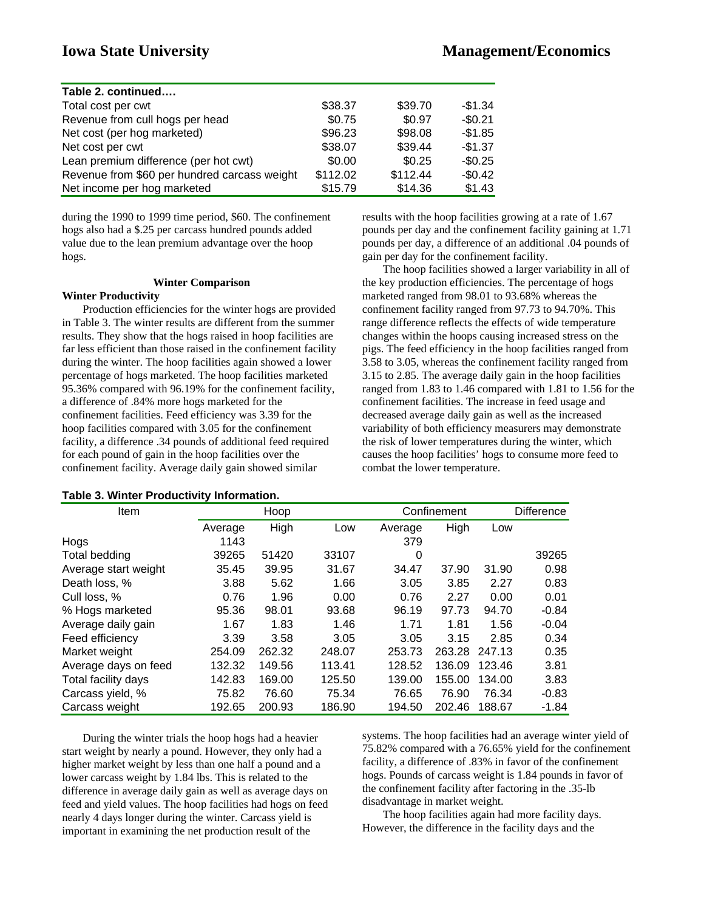| Table 2. continued                           |          |          |          |
|----------------------------------------------|----------|----------|----------|
| Total cost per cwt                           | \$38.37  | \$39.70  | $-$1.34$ |
| Revenue from cull hogs per head              | \$0.75   | \$0.97   | $-$0.21$ |
| Net cost (per hog marketed)                  | \$96.23  | \$98.08  | $-$1.85$ |
| Net cost per cwt                             | \$38.07  | \$39.44  | $-$1.37$ |
| Lean premium difference (per hot cwt)        | \$0.00   | \$0.25   | $-$0.25$ |
| Revenue from \$60 per hundred carcass weight | \$112.02 | \$112.44 | $-$0.42$ |
| Net income per hog marketed                  | \$15.79  | \$14.36  | \$1.43   |

during the 1990 to 1999 time period, \$60. The confinement hogs also had a \$.25 per carcass hundred pounds added value due to the lean premium advantage over the hoop hogs.

#### **Winter Comparison**

#### **Winter Productivity**

Production efficiencies for the winter hogs are provided in Table 3. The winter results are different from the summer results. They show that the hogs raised in hoop facilities are far less efficient than those raised in the confinement facility during the winter. The hoop facilities again showed a lower percentage of hogs marketed. The hoop facilities marketed 95.36% compared with 96.19% for the confinement facility, a difference of .84% more hogs marketed for the confinement facilities. Feed efficiency was 3.39 for the hoop facilities compared with 3.05 for the confinement facility, a difference .34 pounds of additional feed required for each pound of gain in the hoop facilities over the confinement facility. Average daily gain showed similar

|  |  |  |  |  |  | Table 3. Winter Productivity Information. |
|--|--|--|--|--|--|-------------------------------------------|
|--|--|--|--|--|--|-------------------------------------------|

results with the hoop facilities growing at a rate of 1.67 pounds per day and the confinement facility gaining at 1.71 pounds per day, a difference of an additional .04 pounds of gain per day for the confinement facility.

The hoop facilities showed a larger variability in all of the key production efficiencies. The percentage of hogs marketed ranged from 98.01 to 93.68% whereas the confinement facility ranged from 97.73 to 94.70%. This range difference reflects the effects of wide temperature changes within the hoops causing increased stress on the pigs. The feed efficiency in the hoop facilities ranged from 3.58 to 3.05, whereas the confinement facility ranged from 3.15 to 2.85. The average daily gain in the hoop facilities ranged from 1.83 to 1.46 compared with 1.81 to 1.56 for the confinement facilities. The increase in feed usage and decreased average daily gain as well as the increased variability of both efficiency measurers may demonstrate the risk of lower temperatures during the winter, which causes the hoop facilities' hogs to consume more feed to combat the lower temperature.

| <b>Item</b>          | Hoop    |        |        | Confinement | <b>Difference</b> |        |         |
|----------------------|---------|--------|--------|-------------|-------------------|--------|---------|
|                      | Average | High   | Low    | Average     | High              | Low    |         |
| Hogs                 | 1143    |        |        | 379         |                   |        |         |
| Total bedding        | 39265   | 51420  | 33107  | 0           |                   |        | 39265   |
| Average start weight | 35.45   | 39.95  | 31.67  | 34.47       | 37.90             | 31.90  | 0.98    |
| Death loss, %        | 3.88    | 5.62   | 1.66   | 3.05        | 3.85              | 2.27   | 0.83    |
| Cull loss, %         | 0.76    | 1.96   | 0.00   | 0.76        | 2.27              | 0.00   | 0.01    |
| % Hogs marketed      | 95.36   | 98.01  | 93.68  | 96.19       | 97.73             | 94.70  | $-0.84$ |
| Average daily gain   | 1.67    | 1.83   | 1.46   | 1.71        | 1.81              | 1.56   | $-0.04$ |
| Feed efficiency      | 3.39    | 3.58   | 3.05   | 3.05        | 3.15              | 2.85   | 0.34    |
| Market weight        | 254.09  | 262.32 | 248.07 | 253.73      | 263.28            | 247.13 | 0.35    |
| Average days on feed | 132.32  | 149.56 | 113.41 | 128.52      | 136.09            | 123.46 | 3.81    |
| Total facility days  | 142.83  | 169.00 | 125.50 | 139.00      | 155.00            | 134.00 | 3.83    |
| Carcass yield, %     | 75.82   | 76.60  | 75.34  | 76.65       | 76.90             | 76.34  | $-0.83$ |
| Carcass weight       | 192.65  | 200.93 | 186.90 | 194.50      | 202.46            | 188.67 | $-1.84$ |

During the winter trials the hoop hogs had a heavier start weight by nearly a pound. However, they only had a higher market weight by less than one half a pound and a lower carcass weight by 1.84 lbs. This is related to the difference in average daily gain as well as average days on feed and yield values. The hoop facilities had hogs on feed nearly 4 days longer during the winter. Carcass yield is important in examining the net production result of the

systems. The hoop facilities had an average winter yield of 75.82% compared with a 76.65% yield for the confinement facility, a difference of .83% in favor of the confinement hogs. Pounds of carcass weight is 1.84 pounds in favor of the confinement facility after factoring in the .35-lb disadvantage in market weight.

The hoop facilities again had more facility days. However, the difference in the facility days and the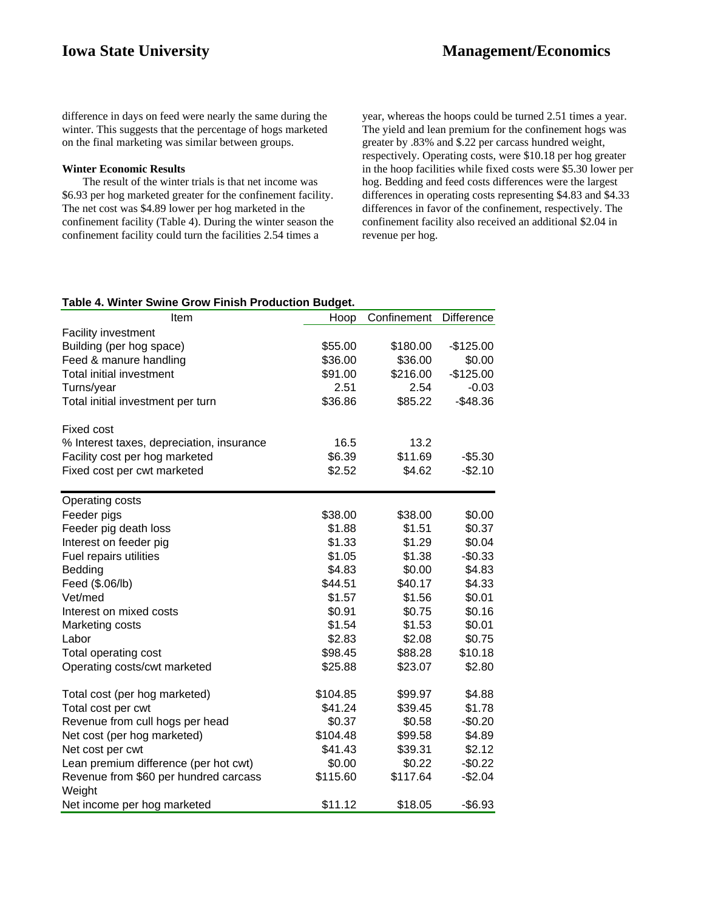difference in days on feed were nearly the same during the winter. This suggests that the percentage of hogs marketed on the final marketing was similar between groups.

### **Winter Economic Results**

The result of the winter trials is that net income was \$6.93 per hog marketed greater for the confinement facility. The net cost was \$4.89 lower per hog marketed in the confinement facility (Table 4). During the winter season the confinement facility could turn the facilities 2.54 times a

year, whereas the hoops could be turned 2.51 times a year. The yield and lean premium for the confinement hogs was greater by .83% and \$.22 per carcass hundred weight, respectively. Operating costs, were \$10.18 per hog greater in the hoop facilities while fixed costs were \$5.30 lower per hog. Bedding and feed costs differences were the largest differences in operating costs representing \$4.83 and \$4.33 differences in favor of the confinement, respectively. The confinement facility also received an additional \$2.04 in revenue per hog.

### **Table 4. Winter Swine Grow Finish Production Budget.**

| Item                                      | Hoop     | Confinement | Difference |
|-------------------------------------------|----------|-------------|------------|
| <b>Facility investment</b>                |          |             |            |
| Building (per hog space)                  | \$55.00  | \$180.00    | $-$125.00$ |
| Feed & manure handling                    | \$36.00  | \$36.00     | \$0.00     |
| <b>Total initial investment</b>           | \$91.00  | \$216.00    | $-$125.00$ |
| Turns/year                                | 2.51     | 2.54        | $-0.03$    |
| Total initial investment per turn         | \$36.86  | \$85.22     | $-$48.36$  |
| <b>Fixed cost</b>                         |          |             |            |
| % Interest taxes, depreciation, insurance | 16.5     | 13.2        |            |
| Facility cost per hog marketed            | \$6.39   | \$11.69     | $-$5.30$   |
| Fixed cost per cwt marketed               | \$2.52   | \$4.62      | $-$2.10$   |
| Operating costs                           |          |             |            |
| Feeder pigs                               | \$38.00  | \$38.00     | \$0.00     |
| Feeder pig death loss                     | \$1.88   | \$1.51      | \$0.37     |
| Interest on feeder pig                    | \$1.33   | \$1.29      | \$0.04     |
| Fuel repairs utilities                    | \$1.05   | \$1.38      | $-$0.33$   |
| Bedding                                   | \$4.83   | \$0.00      | \$4.83     |
| Feed (\$.06/lb)                           | \$44.51  | \$40.17     | \$4.33     |
| Vet/med                                   | \$1.57   | \$1.56      | \$0.01     |
| Interest on mixed costs                   | \$0.91   | \$0.75      | \$0.16     |
| Marketing costs                           | \$1.54   | \$1.53      | \$0.01     |
| Labor                                     | \$2.83   | \$2.08      | \$0.75     |
| Total operating cost                      | \$98.45  | \$88.28     | \$10.18    |
| Operating costs/cwt marketed              | \$25.88  | \$23.07     | \$2.80     |
| Total cost (per hog marketed)             | \$104.85 | \$99.97     | \$4.88     |
| Total cost per cwt                        | \$41.24  | \$39.45     | \$1.78     |
| Revenue from cull hogs per head           | \$0.37   | \$0.58      | $-$0.20$   |
| Net cost (per hog marketed)               | \$104.48 | \$99.58     | \$4.89     |
| Net cost per cwt                          | \$41.43  | \$39.31     | \$2.12     |
| Lean premium difference (per hot cwt)     | \$0.00   | \$0.22      | $-$0.22$   |
| Revenue from \$60 per hundred carcass     | \$115.60 | \$117.64    | $-$2.04$   |
| Weight<br>Net income per hog marketed     | \$11.12  | \$18.05     | $-$6.93$   |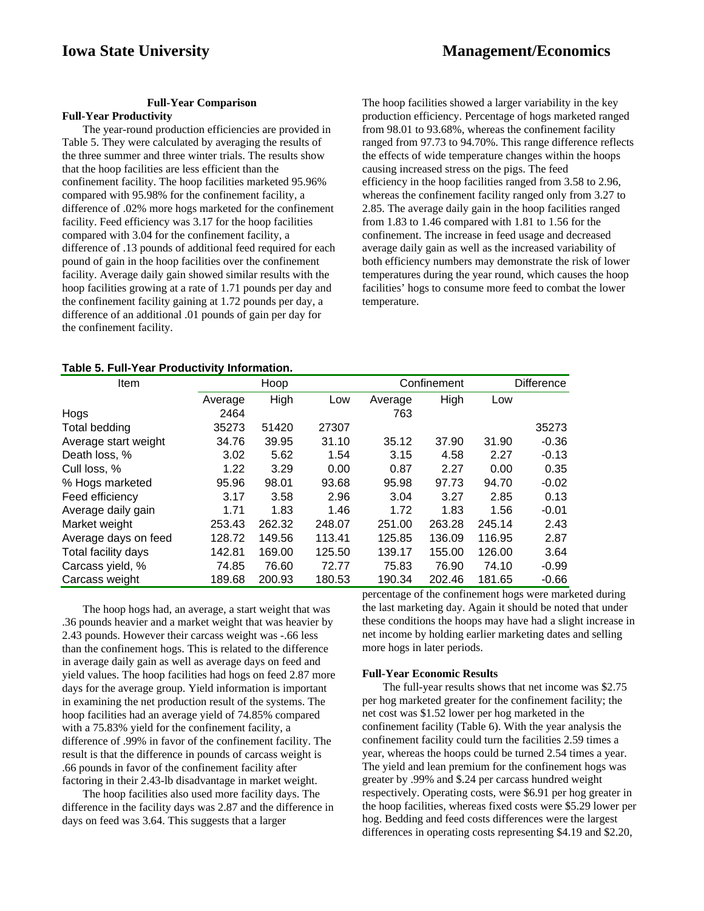### **Full-Year Comparison**

#### **Full-Year Productivity**

The year-round production efficiencies are provided in Table 5. They were calculated by averaging the results of the three summer and three winter trials. The results show that the hoop facilities are less efficient than the confinement facility. The hoop facilities marketed 95.96% compared with 95.98% for the confinement facility, a difference of .02% more hogs marketed for the confinement facility. Feed efficiency was 3.17 for the hoop facilities compared with 3.04 for the confinement facility, a difference of .13 pounds of additional feed required for each pound of gain in the hoop facilities over the confinement facility. Average daily gain showed similar results with the hoop facilities growing at a rate of 1.71 pounds per day and the confinement facility gaining at 1.72 pounds per day, a difference of an additional .01 pounds of gain per day for the confinement facility.

The hoop facilities showed a larger variability in the key production efficiency. Percentage of hogs marketed ranged from 98.01 to 93.68%, whereas the confinement facility ranged from 97.73 to 94.70%. This range difference reflects the effects of wide temperature changes within the hoops causing increased stress on the pigs. The feed efficiency in the hoop facilities ranged from 3.58 to 2.96, whereas the confinement facility ranged only from 3.27 to 2.85. The average daily gain in the hoop facilities ranged from 1.83 to 1.46 compared with 1.81 to 1.56 for the confinement. The increase in feed usage and decreased average daily gain as well as the increased variability of both efficiency numbers may demonstrate the risk of lower temperatures during the year round, which causes the hoop facilities' hogs to consume more feed to combat the lower temperature.

### **Table 5. Full-Year Productivity Information.**

| <b>Item</b>          |         | Hoop   |        |         | Confinement |        | Difference |  |
|----------------------|---------|--------|--------|---------|-------------|--------|------------|--|
|                      | Average | High   | Low    | Average | High        | Low    |            |  |
| Hogs                 | 2464    |        |        | 763     |             |        |            |  |
| Total bedding        | 35273   | 51420  | 27307  |         |             |        | 35273      |  |
| Average start weight | 34.76   | 39.95  | 31.10  | 35.12   | 37.90       | 31.90  | $-0.36$    |  |
| Death loss, %        | 3.02    | 5.62   | 1.54   | 3.15    | 4.58        | 2.27   | $-0.13$    |  |
| Cull loss, %         | 1.22    | 3.29   | 0.00   | 0.87    | 2.27        | 0.00   | 0.35       |  |
| % Hogs marketed      | 95.96   | 98.01  | 93.68  | 95.98   | 97.73       | 94.70  | $-0.02$    |  |
| Feed efficiency      | 3.17    | 3.58   | 2.96   | 3.04    | 3.27        | 2.85   | 0.13       |  |
| Average daily gain   | 1.71    | 1.83   | 1.46   | 1.72    | 1.83        | 1.56   | $-0.01$    |  |
| Market weight        | 253.43  | 262.32 | 248.07 | 251.00  | 263.28      | 245.14 | 2.43       |  |
| Average days on feed | 128.72  | 149.56 | 113.41 | 125.85  | 136.09      | 116.95 | 2.87       |  |
| Total facility days  | 142.81  | 169.00 | 125.50 | 139.17  | 155.00      | 126.00 | 3.64       |  |
| Carcass yield, %     | 74.85   | 76.60  | 72.77  | 75.83   | 76.90       | 74.10  | $-0.99$    |  |
| Carcass weight       | 189.68  | 200.93 | 180.53 | 190.34  | 202.46      | 181.65 | $-0.66$    |  |

The hoop hogs had, an average, a start weight that was .36 pounds heavier and a market weight that was heavier by 2.43 pounds. However their carcass weight was -.66 less than the confinement hogs. This is related to the difference in average daily gain as well as average days on feed and yield values. The hoop facilities had hogs on feed 2.87 more days for the average group. Yield information is important in examining the net production result of the systems. The hoop facilities had an average yield of 74.85% compared with a 75.83% yield for the confinement facility, a difference of .99% in favor of the confinement facility. The result is that the difference in pounds of carcass weight is .66 pounds in favor of the confinement facility after factoring in their 2.43-lb disadvantage in market weight.

The hoop facilities also used more facility days. The difference in the facility days was 2.87 and the difference in days on feed was 3.64. This suggests that a larger

percentage of the confinement hogs were marketed during the last marketing day. Again it should be noted that under these conditions the hoops may have had a slight increase in net income by holding earlier marketing dates and selling more hogs in later periods.

#### **Full-Year Economic Results**

The full-year results shows that net income was \$2.75 per hog marketed greater for the confinement facility; the net cost was \$1.52 lower per hog marketed in the confinement facility (Table 6). With the year analysis the confinement facility could turn the facilities 2.59 times a year, whereas the hoops could be turned 2.54 times a year. The yield and lean premium for the confinement hogs was greater by .99% and \$.24 per carcass hundred weight respectively. Operating costs, were \$6.91 per hog greater in the hoop facilities, whereas fixed costs were \$5.29 lower per hog. Bedding and feed costs differences were the largest differences in operating costs representing \$4.19 and \$2.20,